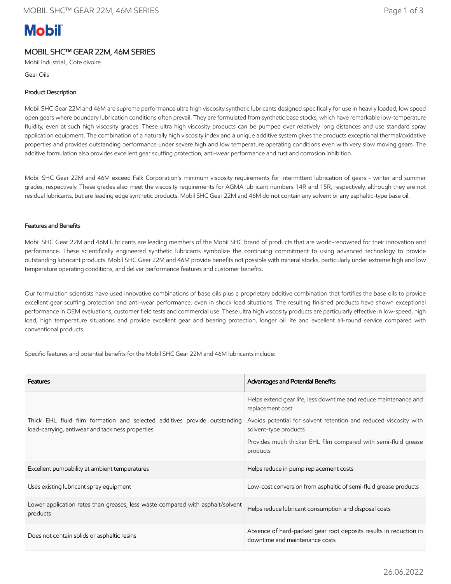# **Mobil**

## MOBIL SHC™ GEAR 22M, 46M SERIES

Mobil Industrial , Cote divoire

Gear Oils

## Product Description

Mobil SHC Gear 22M and 46M are supreme performance ultra high viscosity synthetic lubricants designed specifically for use in heavily loaded, low speed open gears where boundary lubrication conditions often prevail. They are formulated from synthetic base stocks, which have remarkable low-temperature fluidity, even at such high viscosity grades. These ultra high viscosity products can be pumped over relatively long distances and use standard spray application equipment. The combination of a naturally high viscosity index and a unique additive system gives the products exceptional thermal/oxidative properties and provides outstanding performance under severe high and low temperature operating conditions even with very slow moving gears. The additive formulation also provides excellent gear scuffing protection, anti-wear performance and rust and corrosion inhibition.

Mobil SHC Gear 22M and 46M exceed Falk Corporation's minimum viscosity requirements for intermittent lubrication of gears - winter and summer grades, respectively. These grades also meet the viscosity requirements for AGMA lubricant numbers 14R and 15R, respectively, although they are not residual lubricants, but are leading edge synthetic products. Mobil SHC Gear 22M and 46M do not contain any solvent or any asphaltic-type base oil.

### Features and Benefits

Mobil SHC Gear 22M and 46M lubricants are leading members of the Mobil SHC brand of products that are world-renowned for their innovation and performance. These scientifically engineered synthetic lubricants symbolize the continuing commitment to using advanced technology to provide outstanding lubricant products. Mobil SHC Gear 22M and 46M provide benefits not possible with mineral stocks, particularly under extreme high and low temperature operating conditions, and deliver performance features and customer benefits.

Our formulation scientists have used innovative combinations of base oils plus a proprietary additive combination that fortifies the base oils to provide excellent gear scuffing protection and anti-wear performance, even in shock load situations. The resulting finished products have shown exceptional performance in OEM evaluations, customer field tests and commercial use. These ultra high viscosity products are particularly effective in low-speed, high load, high temperature situations and provide excellent gear and bearing protection, longer oil life and excellent all-round service compared with conventional products.

Specific features and potential benefits for the Mobil SHC Gear 22M and 46M lubricants include:

| <b>Features</b>                                                                                                               | Advantages and Potential Benefits                                                                   |
|-------------------------------------------------------------------------------------------------------------------------------|-----------------------------------------------------------------------------------------------------|
|                                                                                                                               | Helps extend gear life, less downtime and reduce maintenance and<br>replacement cost                |
| Thick EHL fluid film formation and selected additives provide outstanding<br>load-carrying, antiwear and tackiness properties | Avoids potential for solvent retention and reduced viscosity with<br>solvent-type products          |
|                                                                                                                               | Provides much thicker EHL film compared with semi-fluid grease<br>products                          |
| Excellent pumpability at ambient temperatures                                                                                 | Helps reduce in pump replacement costs                                                              |
| Uses existing lubricant spray equipment                                                                                       | Low-cost conversion from asphaltic of semi-fluid grease products                                    |
| Lower application rates than greases, less waste compared with asphalt/solvent<br>products                                    | Helps reduce lubricant consumption and disposal costs                                               |
| Does not contain solids or asphaltic resins                                                                                   | Absence of hard-packed gear root deposits results in reduction in<br>downtime and maintenance costs |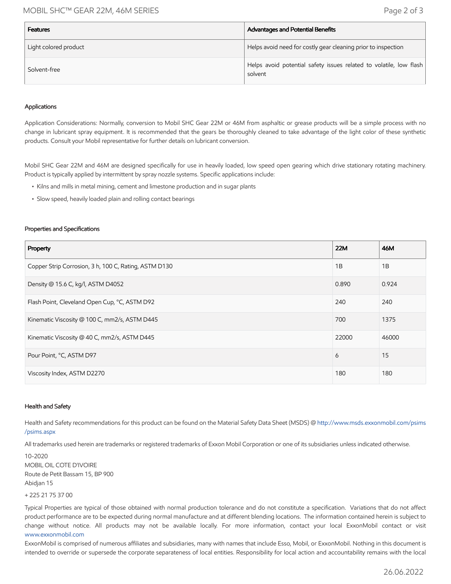## MOBIL SHC™ GEAR 22M, 46M SERIES Page 2 of 3

| <b>Features</b>       | Advantages and Potential Benefits                                             |
|-----------------------|-------------------------------------------------------------------------------|
| Light colored product | Helps avoid need for costly gear cleaning prior to inspection                 |
| Solvent-free          | Helps avoid potential safety issues related to volatile, low flash<br>solvent |

#### Applications

Application Considerations: Normally, conversion to Mobil SHC Gear 22M or 46M from asphaltic or grease products will be a simple process with no change in lubricant spray equipment. It is recommended that the gears be thoroughly cleaned to take advantage of the light color of these synthetic products. Consult your Mobil representative for further details on lubricant conversion.

Mobil SHC Gear 22M and 46M are designed specifically for use in heavily loaded, low speed open gearing which drive stationary rotating machinery. Product is typically applied by intermittent by spray nozzle systems. Specific applications include:

- Kilns and mills in metal mining, cement and limestone production and in sugar plants
- Slow speed, heavily loaded plain and rolling contact bearings

#### Properties and Specifications

| Property                                              | <b>22M</b> | 46M   |
|-------------------------------------------------------|------------|-------|
| Copper Strip Corrosion, 3 h, 100 C, Rating, ASTM D130 | 1B         | 1B    |
| Density @ 15.6 C, kg/l, ASTM D4052                    | 0.890      | 0.924 |
| Flash Point, Cleveland Open Cup, °C, ASTM D92         | 240        | 240   |
| Kinematic Viscosity @ 100 C, mm2/s, ASTM D445         | 700        | 1375  |
| Kinematic Viscosity @ 40 C, mm2/s, ASTM D445          | 22000      | 46000 |
| Pour Point, °C, ASTM D97                              | 6          | 15    |
| Viscosity Index, ASTM D2270                           | 180        | 180   |

#### Health and Safety

Health and Safety recommendations for this product can be found on the Material Safety Data Sheet (MSDS) @ [http://www.msds.exxonmobil.com/psims](http://www.msds.exxonmobil.com/psims/psims.aspx) /psims.aspx

All trademarks used herein are trademarks or registered trademarks of Exxon Mobil Corporation or one of its subsidiaries unless indicated otherwise.

10-2020 MOBIL OIL COTE D'IVOIRE Route de Petit Bassam 15, BP 900 Abidjan 15

+ 225 21 75 37 00

Typical Properties are typical of those obtained with normal production tolerance and do not constitute a specification. Variations that do not affect product performance are to be expected during normal manufacture and at different blending locations. The information contained herein is subject to change without notice. All products may not be available locally. For more information, contact your local ExxonMobil contact or visit [www.exxonmobil.com](http://www.exxonmobil.com/)

ExxonMobil is comprised of numerous affiliates and subsidiaries, many with names that include Esso, Mobil, or ExxonMobil. Nothing in this document is intended to override or supersede the corporate separateness of local entities. Responsibility for local action and accountability remains with the local